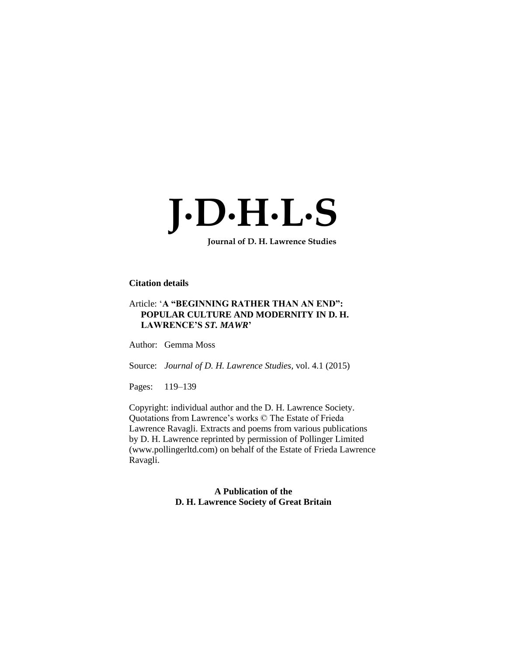

 **Journal of D. H. Lawrence Studies**

# **Citation details**

## Article: '**A "BEGINNING RATHER THAN AN END": POPULAR CULTURE AND MODERNITY IN D. H. LAWRENCE'S** *ST. MAWR***'**

Author: Gemma Moss

Source: *Journal of D. H. Lawrence Studies,* vol. 4.1 (2015)

Pages: 119-139

Copyright: individual author and the D. H. Lawrence Society. Quotations from Lawrence's works © The Estate of Frieda Lawrence Ravagli. Extracts and poems from various publications by D. H. Lawrence reprinted by permission of Pollinger Limited (www.pollingerltd.com) on behalf of the Estate of Frieda Lawrence Ravagli.

> **A Publication of the D. H. Lawrence Society of Great Britain**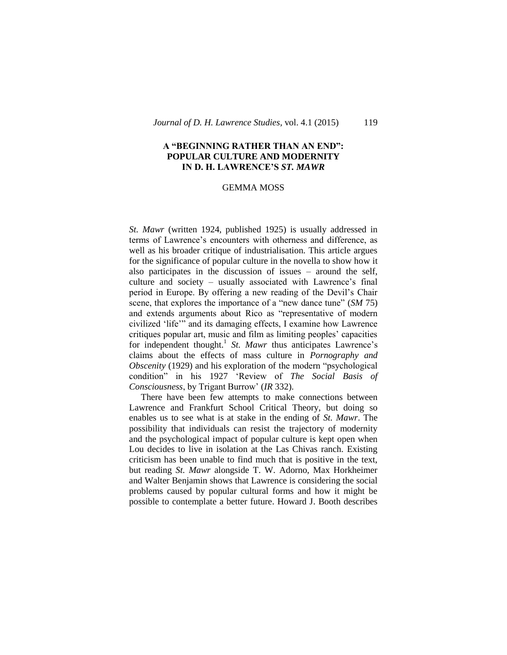### **A "BEGINNING RATHER THAN AN END": POPULAR CULTURE AND MODERNITY IN D. H. LAWRENCE'S** *ST. MAWR*

#### GEMMA MOSS

*St. Mawr* (written 1924, published 1925) is usually addressed in terms of Lawrence's encounters with otherness and difference, as well as his broader critique of industrialisation. This article argues for the significance of popular culture in the novella to show how it also participates in the discussion of issues – around the self, culture and society – usually associated with Lawrence's final period in Europe. By offering a new reading of the Devil's Chair scene, that explores the importance of a "new dance tune" (*SM* 75) and extends arguments about Rico as "representative of modern civilized 'life'" and its damaging effects, I examine how Lawrence critiques popular art, music and film as limiting peoples' capacities for independent thought.<sup>1</sup> St. Mawr thus anticipates Lawrence's claims about the effects of mass culture in *Pornography and Obscenity* (1929) and his exploration of the modern "psychological condition" in his 1927 'Review of *The Social Basis of Consciousness*, by Trigant Burrow' (*IR* 332).

There have been few attempts to make connections between Lawrence and Frankfurt School Critical Theory, but doing so enables us to see what is at stake in the ending of *St. Mawr*. The possibility that individuals can resist the trajectory of modernity and the psychological impact of popular culture is kept open when Lou decides to live in isolation at the Las Chivas ranch. Existing criticism has been unable to find much that is positive in the text, but reading *St. Mawr* alongside T. W. Adorno, Max Horkheimer and Walter Benjamin shows that Lawrence is considering the social problems caused by popular cultural forms and how it might be possible to contemplate a better future. Howard J. Booth describes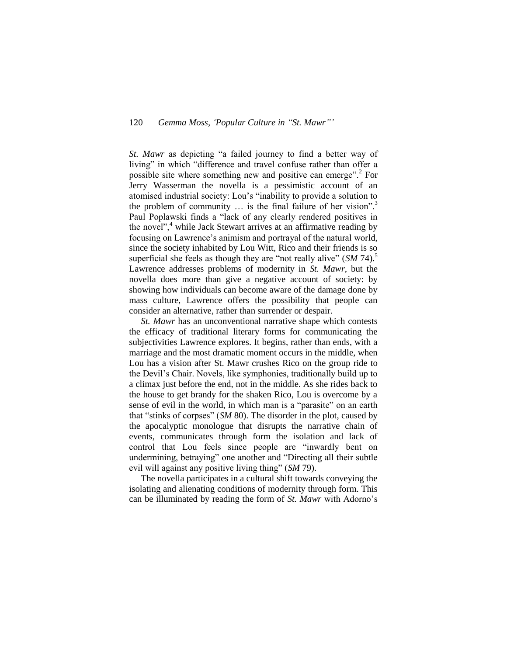## 120 *Gemma Moss, 'Popular Culture in "St. Mawr"'*

*St. Mawr* as depicting "a failed journey to find a better way of living" in which "difference and travel confuse rather than offer a possible site where something new and positive can emerge".<sup>2</sup> For Jerry Wasserman the novella is a pessimistic account of an atomised industrial society: Lou's "inability to provide a solution to the problem of community  $\ldots$  is the final failure of her vision".<sup>3</sup> Paul Poplawski finds a "lack of any clearly rendered positives in the novel", $4$  while Jack Stewart arrives at an affirmative reading by focusing on Lawrence's animism and portrayal of the natural world, since the society inhabited by Lou Witt, Rico and their friends is so superficial she feels as though they are "not really alive" (*SM* 74).<sup>5</sup> Lawrence addresses problems of modernity in *St. Mawr*, but the novella does more than give a negative account of society: by showing how individuals can become aware of the damage done by mass culture, Lawrence offers the possibility that people can consider an alternative, rather than surrender or despair.

*St. Mawr* has an unconventional narrative shape which contests the efficacy of traditional literary forms for communicating the subjectivities Lawrence explores. It begins, rather than ends, with a marriage and the most dramatic moment occurs in the middle, when Lou has a vision after St. Mawr crushes Rico on the group ride to the Devil's Chair. Novels, like symphonies, traditionally build up to a climax just before the end, not in the middle. As she rides back to the house to get brandy for the shaken Rico, Lou is overcome by a sense of evil in the world, in which man is a "parasite" on an earth that "stinks of corpses" (*SM* 80). The disorder in the plot, caused by the apocalyptic monologue that disrupts the narrative chain of events, communicates through form the isolation and lack of control that Lou feels since people are "inwardly bent on undermining, betraying" one another and "Directing all their subtle evil will against any positive living thing" (*SM* 79).

The novella participates in a cultural shift towards conveying the isolating and alienating conditions of modernity through form. This can be illuminated by reading the form of *St. Mawr* with Adorno's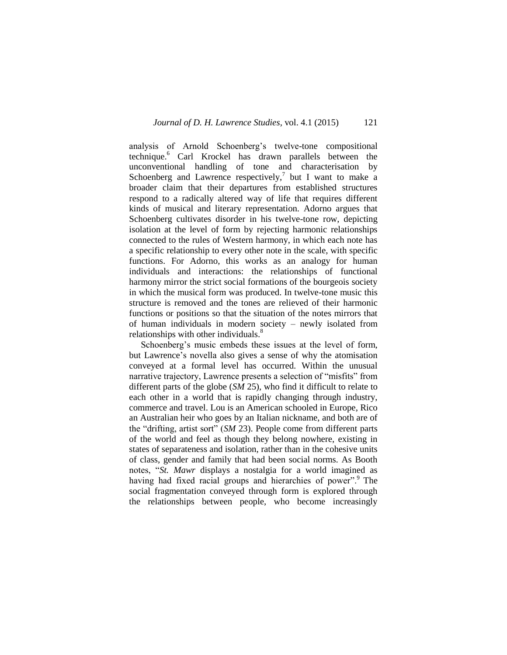analysis of Arnold Schoenberg's twelve-tone compositional technique.<sup>6</sup> Carl Krockel has drawn parallels between the unconventional handling of tone and characterisation by Schoenberg and Lawrence respectively,<sup>7</sup> but I want to make a broader claim that their departures from established structures respond to a radically altered way of life that requires different kinds of musical and literary representation. Adorno argues that Schoenberg cultivates disorder in his twelve-tone row, depicting isolation at the level of form by rejecting harmonic relationships connected to the rules of Western harmony, in which each note has a specific relationship to every other note in the scale, with specific functions. For Adorno, this works as an analogy for human individuals and interactions: the relationships of functional harmony mirror the strict social formations of the bourgeois society in which the musical form was produced. In twelve-tone music this structure is removed and the tones are relieved of their harmonic functions or positions so that the situation of the notes mirrors that of human individuals in modern society – newly isolated from relationships with other individuals.<sup>8</sup>

Schoenberg's music embeds these issues at the level of form, but Lawrence's novella also gives a sense of why the atomisation conveyed at a formal level has occurred. Within the unusual narrative trajectory, Lawrence presents a selection of "misfits" from different parts of the globe (*SM* 25), who find it difficult to relate to each other in a world that is rapidly changing through industry, commerce and travel. Lou is an American schooled in Europe, Rico an Australian heir who goes by an Italian nickname, and both are of the "drifting, artist sort" (*SM* 23). People come from different parts of the world and feel as though they belong nowhere, existing in states of separateness and isolation, rather than in the cohesive units of class, gender and family that had been social norms. As Booth notes, "*St. Mawr* displays a nostalgia for a world imagined as having had fixed racial groups and hierarchies of power".<sup>9</sup> The social fragmentation conveyed through form is explored through the relationships between people, who become increasingly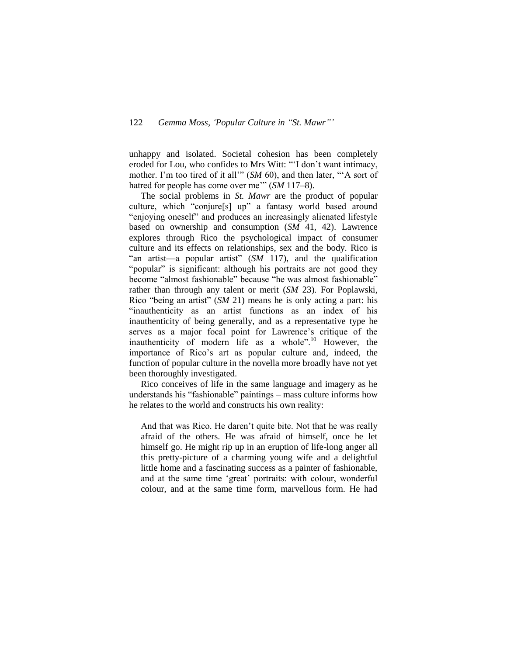unhappy and isolated. Societal cohesion has been completely eroded for Lou, who confides to Mrs Witt: "'I don't want intimacy, mother. I'm too tired of it all<sup>'"</sup> (*SM* 60), and then later, "A sort of hatred for people has come over me'" (*SM* 117–8).

The social problems in *St. Mawr* are the product of popular culture, which "conjure[s] up" a fantasy world based around "enjoying oneself" and produces an increasingly alienated lifestyle based on ownership and consumption (*SM* 41, 42). Lawrence explores through Rico the psychological impact of consumer culture and its effects on relationships, sex and the body. Rico is "an artist—a popular artist" (*SM* 117), and the qualification "popular" is significant: although his portraits are not good they become "almost fashionable" because "he was almost fashionable" rather than through any talent or merit (*SM* 23). For Poplawski, Rico "being an artist" (*SM* 21) means he is only acting a part: his "inauthenticity as an artist functions as an index of his inauthenticity of being generally, and as a representative type he serves as a major focal point for Lawrence's critique of the inauthenticity of modern life as a whole".<sup>10</sup> However, the importance of Rico's art as popular culture and, indeed, the function of popular culture in the novella more broadly have not yet been thoroughly investigated.

Rico conceives of life in the same language and imagery as he understands his "fashionable" paintings – mass culture informs how he relates to the world and constructs his own reality:

And that was Rico. He daren't quite bite. Not that he was really afraid of the others. He was afraid of himself, once he let himself go. He might rip up in an eruption of life-long anger all this pretty-picture of a charming young wife and a delightful little home and a fascinating success as a painter of fashionable, and at the same time 'great' portraits: with colour, wonderful colour, and at the same time form, marvellous form. He had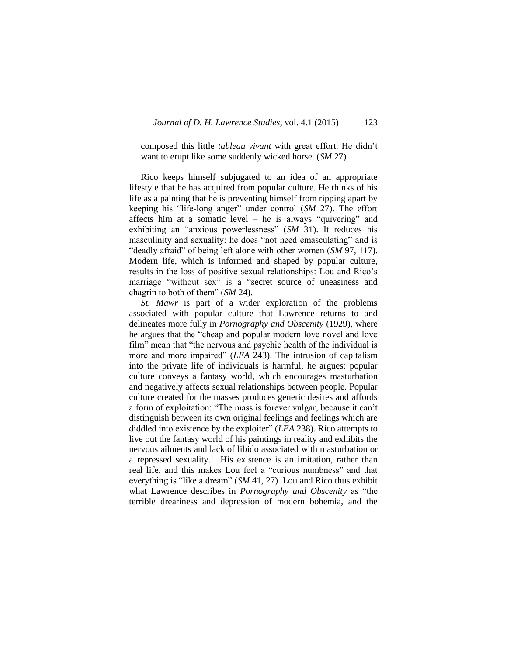composed this little *tableau vivant* with great effort. He didn't want to erupt like some suddenly wicked horse. (*SM* 27)

Rico keeps himself subjugated to an idea of an appropriate lifestyle that he has acquired from popular culture. He thinks of his life as a painting that he is preventing himself from ripping apart by keeping his "life-long anger" under control (*SM* 27). The effort affects him at a somatic level – he is always "quivering" and exhibiting an "anxious powerlessness" (*SM* 31). It reduces his masculinity and sexuality: he does "not need emasculating" and is "deadly afraid" of being left alone with other women (*SM* 97, 117). Modern life, which is informed and shaped by popular culture, results in the loss of positive sexual relationships: Lou and Rico's marriage "without sex" is a "secret source of uneasiness and chagrin to both of them" (*SM* 24).

*St. Mawr* is part of a wider exploration of the problems associated with popular culture that Lawrence returns to and delineates more fully in *Pornography and Obscenity* (1929), where he argues that the "cheap and popular modern love novel and love film" mean that "the nervous and psychic health of the individual is more and more impaired" (*LEA* 243). The intrusion of capitalism into the private life of individuals is harmful, he argues: popular culture conveys a fantasy world, which encourages masturbation and negatively affects sexual relationships between people. Popular culture created for the masses produces generic desires and affords a form of exploitation: "The mass is forever vulgar, because it can't distinguish between its own original feelings and feelings which are diddled into existence by the exploiter" (*LEA* 238). Rico attempts to live out the fantasy world of his paintings in reality and exhibits the nervous ailments and lack of libido associated with masturbation or a repressed sexuality.<sup>11</sup> His existence is an imitation, rather than real life, and this makes Lou feel a "curious numbness" and that everything is "like a dream" (*SM* 41, 27). Lou and Rico thus exhibit what Lawrence describes in *Pornography and Obscenity* as "the terrible dreariness and depression of modern bohemia, and the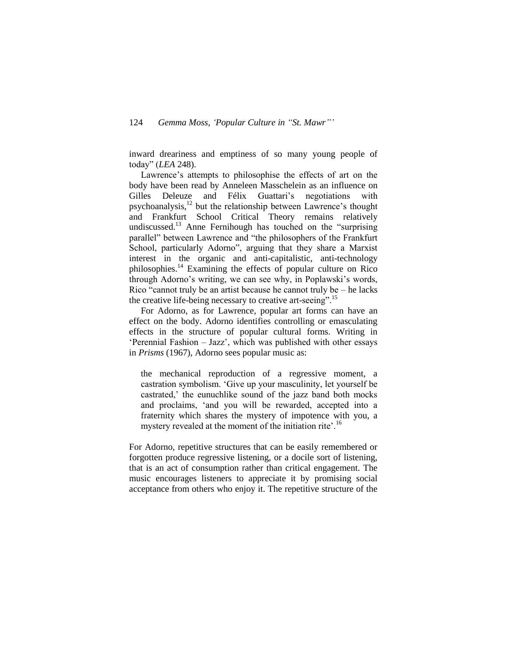inward dreariness and emptiness of so many young people of today" (*LEA* 248).

Lawrence's attempts to philosophise the effects of art on the body have been read by Anneleen Masschelein as an influence on Gilles Deleuze and Félix Guattari's negotiations with psychoanalysis, $^{12}$  but the relationship between Lawrence's thought and Frankfurt School Critical Theory remains relatively undiscussed.<sup>13</sup> Anne Fernihough has touched on the "surprising parallel" between Lawrence and "the philosophers of the Frankfurt School, particularly Adorno", arguing that they share a Marxist interest in the organic and anti-capitalistic, anti-technology philosophies.<sup>14</sup> Examining the effects of popular culture on Rico through Adorno's writing, we can see why, in Poplawski's words, Rico "cannot truly be an artist because he cannot truly be – he lacks the creative life-being necessary to creative art-seeing".<sup>15</sup>

For Adorno, as for Lawrence, popular art forms can have an effect on the body. Adorno identifies controlling or emasculating effects in the structure of popular cultural forms. Writing in 'Perennial Fashion – Jazz', which was published with other essays in *Prisms* (1967), Adorno sees popular music as:

the mechanical reproduction of a regressive moment, a castration symbolism. 'Give up your masculinity, let yourself be castrated,' the eunuchlike sound of the jazz band both mocks and proclaims, 'and you will be rewarded, accepted into a fraternity which shares the mystery of impotence with you, a mystery revealed at the moment of the initiation rite'.<sup>16</sup>

For Adorno, repetitive structures that can be easily remembered or forgotten produce regressive listening, or a docile sort of listening, that is an act of consumption rather than critical engagement. The music encourages listeners to appreciate it by promising social acceptance from others who enjoy it. The repetitive structure of the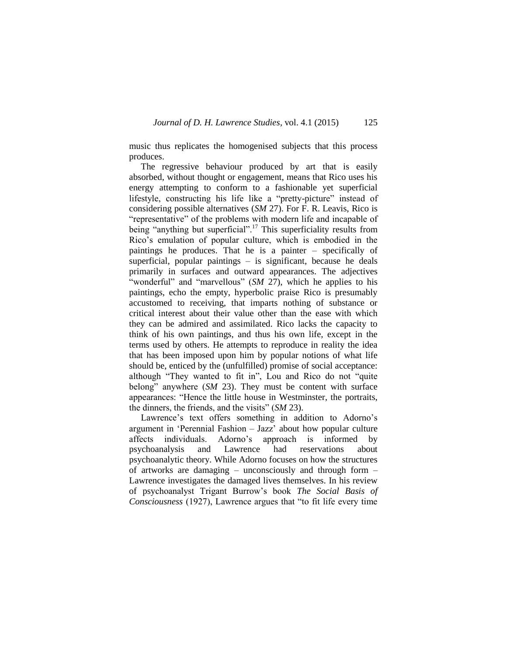music thus replicates the homogenised subjects that this process produces.

The regressive behaviour produced by art that is easily absorbed, without thought or engagement, means that Rico uses his energy attempting to conform to a fashionable yet superficial lifestyle, constructing his life like a "pretty-picture" instead of considering possible alternatives (*SM* 27). For F. R. Leavis, Rico is "representative" of the problems with modern life and incapable of being "anything but superficial".<sup>17</sup> This superficiality results from Rico's emulation of popular culture, which is embodied in the paintings he produces. That he is a painter – specifically of superficial, popular paintings – is significant, because he deals primarily in surfaces and outward appearances. The adjectives "wonderful" and "marvellous" (*SM 27*), which he applies to his paintings, echo the empty, hyperbolic praise Rico is presumably accustomed to receiving, that imparts nothing of substance or critical interest about their value other than the ease with which they can be admired and assimilated. Rico lacks the capacity to think of his own paintings, and thus his own life, except in the terms used by others. He attempts to reproduce in reality the idea that has been imposed upon him by popular notions of what life should be, enticed by the (unfulfilled) promise of social acceptance: although "They wanted to fit in", Lou and Rico do not "quite belong" anywhere (*SM* 23). They must be content with surface appearances: "Hence the little house in Westminster, the portraits, the dinners, the friends, and the visits" (*SM* 23).

Lawrence's text offers something in addition to Adorno's argument in 'Perennial Fashion – Jazz' about how popular culture affects individuals. Adorno's approach is informed by psychoanalysis and Lawrence had reservations about psychoanalytic theory. While Adorno focuses on how the structures of artworks are damaging – unconsciously and through form – Lawrence investigates the damaged lives themselves. In his review of psychoanalyst Trigant Burrow's book *The Social Basis of Consciousness* (1927), Lawrence argues that "to fit life every time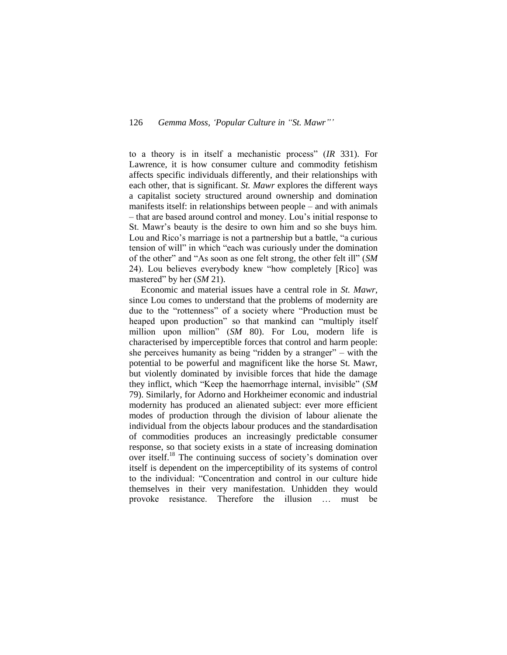to a theory is in itself a mechanistic process" (*IR* 331). For Lawrence, it is how consumer culture and commodity fetishism affects specific individuals differently, and their relationships with each other, that is significant. *St. Mawr* explores the different ways a capitalist society structured around ownership and domination manifests itself: in relationships between people – and with animals – that are based around control and money. Lou's initial response to St. Mawr's beauty is the desire to own him and so she buys him. Lou and Rico's marriage is not a partnership but a battle, "a curious tension of will" in which "each was curiously under the domination of the other" and "As soon as one felt strong, the other felt ill" (*SM* 24). Lou believes everybody knew "how completely [Rico] was mastered" by her (*SM* 21).

Economic and material issues have a central role in *St. Mawr*, since Lou comes to understand that the problems of modernity are due to the "rottenness" of a society where "Production must be heaped upon production" so that mankind can "multiply itself million upon million" (*SM* 80). For Lou, modern life is characterised by imperceptible forces that control and harm people: she perceives humanity as being "ridden by a stranger" – with the potential to be powerful and magnificent like the horse St. Mawr, but violently dominated by invisible forces that hide the damage they inflict, which "Keep the haemorrhage internal, invisible" (*SM* 79). Similarly, for Adorno and Horkheimer economic and industrial modernity has produced an alienated subject: ever more efficient modes of production through the division of labour alienate the individual from the objects labour produces and the standardisation of commodities produces an increasingly predictable consumer response, so that society exists in a state of increasing domination over itself.<sup>18</sup> The continuing success of society's domination over itself is dependent on the imperceptibility of its systems of control to the individual: "Concentration and control in our culture hide themselves in their very manifestation. Unhidden they would provoke resistance. Therefore the illusion … must be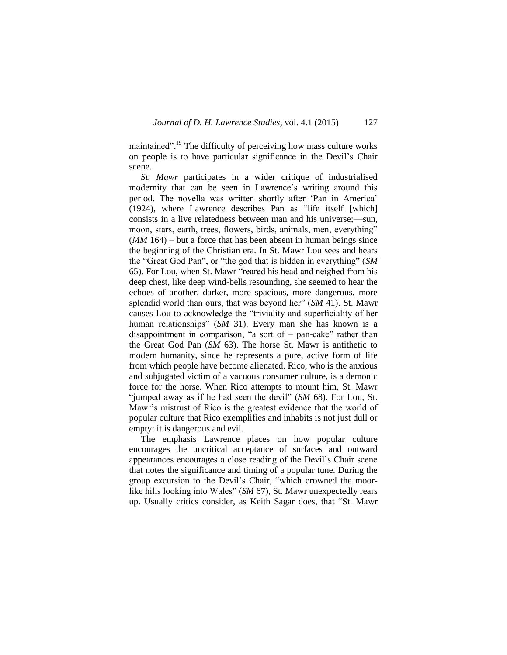maintained".<sup>19</sup> The difficulty of perceiving how mass culture works on people is to have particular significance in the Devil's Chair scene.

*St. Mawr* participates in a wider critique of industrialised modernity that can be seen in Lawrence's writing around this period. The novella was written shortly after 'Pan in America' (1924), where Lawrence describes Pan as "life itself [which] consists in a live relatedness between man and his universe;—sun, moon, stars, earth, trees, flowers, birds, animals, men, everything" (*MM* 164) – but a force that has been absent in human beings since the beginning of the Christian era. In St. Mawr Lou sees and hears the "Great God Pan", or "the god that is hidden in everything" (*SM* 65). For Lou, when St. Mawr "reared his head and neighed from his deep chest, like deep wind-bells resounding, she seemed to hear the echoes of another, darker, more spacious, more dangerous, more splendid world than ours, that was beyond her" (*SM* 41). St. Mawr causes Lou to acknowledge the "triviality and superficiality of her human relationships" (*SM* 31). Every man she has known is a disappointment in comparison, "a sort of  $-$  pan-cake" rather than the Great God Pan (*SM* 63). The horse St. Mawr is antithetic to modern humanity, since he represents a pure, active form of life from which people have become alienated. Rico, who is the anxious and subjugated victim of a vacuous consumer culture, is a demonic force for the horse. When Rico attempts to mount him, St. Mawr "jumped away as if he had seen the devil" (*SM* 68). For Lou, St. Mawr's mistrust of Rico is the greatest evidence that the world of popular culture that Rico exemplifies and inhabits is not just dull or empty: it is dangerous and evil.

The emphasis Lawrence places on how popular culture encourages the uncritical acceptance of surfaces and outward appearances encourages a close reading of the Devil's Chair scene that notes the significance and timing of a popular tune. During the group excursion to the Devil's Chair, "which crowned the moorlike hills looking into Wales" (*SM* 67), St. Mawr unexpectedly rears up. Usually critics consider, as Keith Sagar does, that "St. Mawr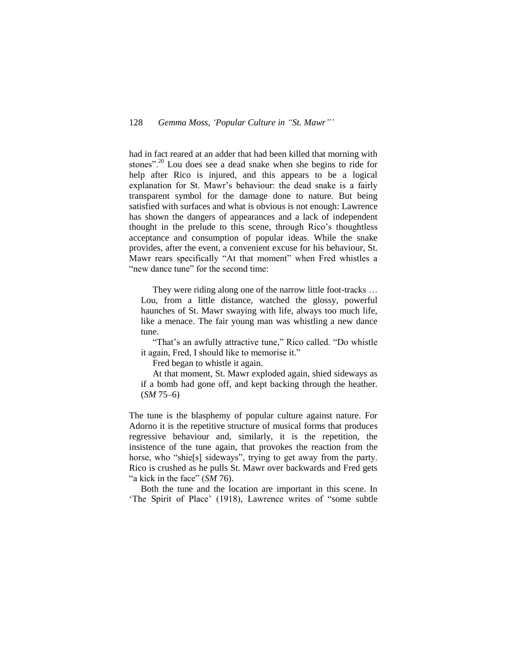had in fact reared at an adder that had been killed that morning with stones".<sup>20</sup> Lou does see a dead snake when she begins to ride for help after Rico is injured, and this appears to be a logical explanation for St. Mawr's behaviour: the dead snake is a fairly transparent symbol for the damage done to nature. But being satisfied with surfaces and what is obvious is not enough: Lawrence has shown the dangers of appearances and a lack of independent thought in the prelude to this scene, through Rico's thoughtless acceptance and consumption of popular ideas. While the snake provides, after the event, a convenient excuse for his behaviour, St. Mawr rears specifically "At that moment" when Fred whistles a "new dance tune" for the second time:

They were riding along one of the narrow little foot-tracks ... Lou, from a little distance, watched the glossy, powerful haunches of St. Mawr swaying with life, always too much life, like a menace. The fair young man was whistling a new dance tune.

"That's an awfully attractive tune," Rico called. "Do whistle it again, Fred, I should like to memorise it."

Fred began to whistle it again.

At that moment, St. Mawr exploded again, shied sideways as if a bomb had gone off, and kept backing through the heather.  $(SM 75–6)$ 

The tune is the blasphemy of popular culture against nature. For Adorno it is the repetitive structure of musical forms that produces regressive behaviour and, similarly, it is the repetition, the insistence of the tune again, that provokes the reaction from the horse, who "shie[s] sideways", trying to get away from the party. Rico is crushed as he pulls St. Mawr over backwards and Fred gets "a kick in the face" (*SM* 76).

Both the tune and the location are important in this scene. In 'The Spirit of Place' (1918), Lawrence writes of "some subtle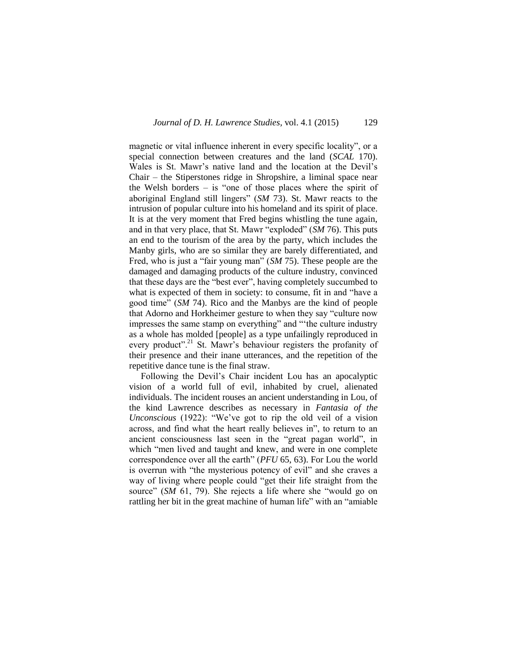magnetic or vital influence inherent in every specific locality", or a special connection between creatures and the land (*SCAL* 170). Wales is St. Mawr's native land and the location at the Devil's Chair – the Stiperstones ridge in Shropshire, a liminal space near the Welsh borders  $-$  is "one of those places where the spirit of aboriginal England still lingers" (*SM* 73). St. Mawr reacts to the intrusion of popular culture into his homeland and its spirit of place. It is at the very moment that Fred begins whistling the tune again, and in that very place, that St. Mawr "exploded" (*SM* 76). This puts an end to the tourism of the area by the party, which includes the Manby girls, who are so similar they are barely differentiated, and Fred, who is just a "fair young man" (*SM* 75). These people are the damaged and damaging products of the culture industry, convinced that these days are the "best ever", having completely succumbed to what is expected of them in society: to consume, fit in and "have a good time" (*SM* 74). Rico and the Manbys are the kind of people that Adorno and Horkheimer gesture to when they say "culture now impresses the same stamp on everything" and "'the culture industry as a whole has molded [people] as a type unfailingly reproduced in every product".<sup>21</sup> St. Mawr's behaviour registers the profanity of their presence and their inane utterances, and the repetition of the repetitive dance tune is the final straw.

Following the Devil's Chair incident Lou has an apocalyptic vision of a world full of evil, inhabited by cruel, alienated individuals. The incident rouses an ancient understanding in Lou, of the kind Lawrence describes as necessary in *Fantasia of the Unconscious* (1922): "We've got to rip the old veil of a vision across, and find what the heart really believes in", to return to an ancient consciousness last seen in the "great pagan world", in which "men lived and taught and knew, and were in one complete correspondence over all the earth" (*PFU* 65, 63). For Lou the world is overrun with "the mysterious potency of evil" and she craves a way of living where people could "get their life straight from the source" (*SM* 61, 79). She rejects a life where she "would go on rattling her bit in the great machine of human life" with an "amiable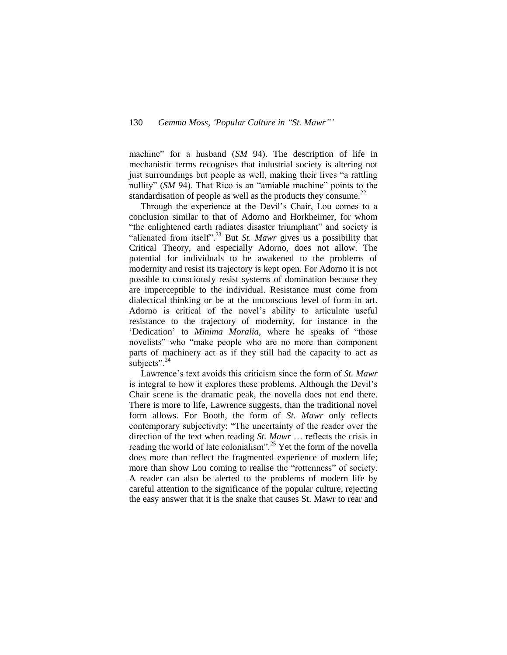machine" for a husband (*SM* 94). The description of life in mechanistic terms recognises that industrial society is altering not just surroundings but people as well, making their lives "a rattling nullity" (*SM* 94). That Rico is an "amiable machine" points to the standardisation of people as well as the products they consume. $^{22}$ 

Through the experience at the Devil's Chair, Lou comes to a conclusion similar to that of Adorno and Horkheimer, for whom "the enlightened earth radiates disaster triumphant" and society is "alienated from itself".<sup>23</sup> But *St. Mawr* gives us a possibility that Critical Theory, and especially Adorno, does not allow. The potential for individuals to be awakened to the problems of modernity and resist its trajectory is kept open. For Adorno it is not possible to consciously resist systems of domination because they are imperceptible to the individual. Resistance must come from dialectical thinking or be at the unconscious level of form in art. Adorno is critical of the novel's ability to articulate useful resistance to the trajectory of modernity, for instance in the 'Dedication' to *Minima Moralia,* where he speaks of "those novelists" who "make people who are no more than component parts of machinery act as if they still had the capacity to act as subjects". $^{24}$ 

Lawrence's text avoids this criticism since the form of *St. Mawr*  is integral to how it explores these problems. Although the Devil's Chair scene is the dramatic peak, the novella does not end there. There is more to life, Lawrence suggests, than the traditional novel form allows. For Booth, the form of *St. Mawr* only reflects contemporary subjectivity: "The uncertainty of the reader over the direction of the text when reading *St. Mawr* … reflects the crisis in reading the world of late colonialism".<sup>25</sup> Yet the form of the novella does more than reflect the fragmented experience of modern life; more than show Lou coming to realise the "rottenness" of society. A reader can also be alerted to the problems of modern life by careful attention to the significance of the popular culture, rejecting the easy answer that it is the snake that causes St. Mawr to rear and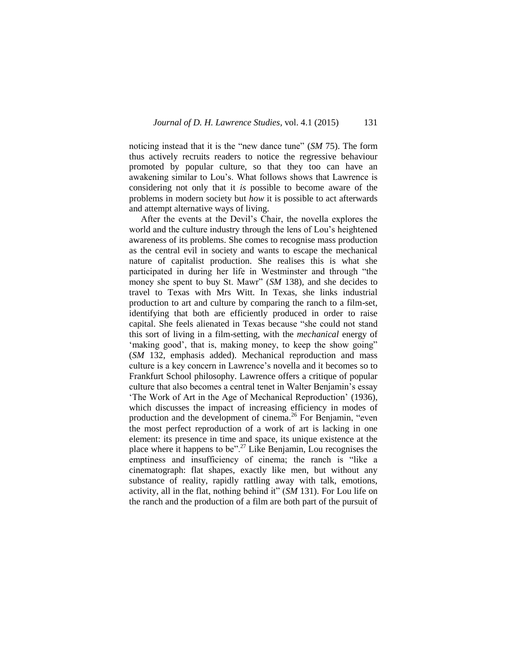noticing instead that it is the "new dance tune" (*SM* 75). The form thus actively recruits readers to notice the regressive behaviour promoted by popular culture, so that they too can have an awakening similar to Lou's. What follows shows that Lawrence is considering not only that it *is* possible to become aware of the problems in modern society but *how* it is possible to act afterwards and attempt alternative ways of living.

After the events at the Devil's Chair, the novella explores the world and the culture industry through the lens of Lou's heightened awareness of its problems. She comes to recognise mass production as the central evil in society and wants to escape the mechanical nature of capitalist production. She realises this is what she participated in during her life in Westminster and through "the money she spent to buy St. Mawr" (*SM* 138), and she decides to travel to Texas with Mrs Witt. In Texas, she links industrial production to art and culture by comparing the ranch to a film-set, identifying that both are efficiently produced in order to raise capital. She feels alienated in Texas because "she could not stand this sort of living in a film-setting, with the *mechanical* energy of 'making good', that is, making money, to keep the show going" (*SM* 132, emphasis added). Mechanical reproduction and mass culture is a key concern in Lawrence's novella and it becomes so to Frankfurt School philosophy. Lawrence offers a critique of popular culture that also becomes a central tenet in Walter Benjamin's essay 'The Work of Art in the Age of Mechanical Reproduction' (1936), which discusses the impact of increasing efficiency in modes of production and the development of cinema.<sup>26</sup> For Benjamin, "even the most perfect reproduction of a work of art is lacking in one element: its presence in time and space, its unique existence at the place where it happens to be".<sup>27</sup> Like Benjamin, Lou recognises the emptiness and insufficiency of cinema; the ranch is "like a cinematograph: flat shapes, exactly like men, but without any substance of reality, rapidly rattling away with talk, emotions, activity, all in the flat, nothing behind it" (*SM* 131). For Lou life on the ranch and the production of a film are both part of the pursuit of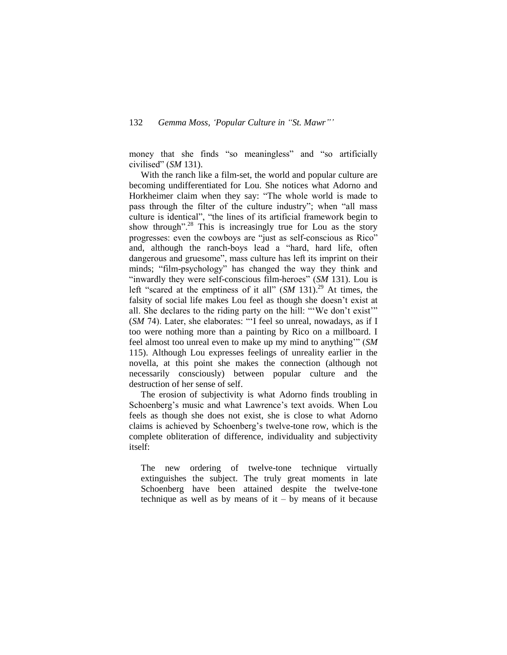money that she finds "so meaningless" and "so artificially civilised" (*SM* 131).

With the ranch like a film-set, the world and popular culture are becoming undifferentiated for Lou. She notices what Adorno and Horkheimer claim when they say: "The whole world is made to pass through the filter of the culture industry"; when "all mass culture is identical", "the lines of its artificial framework begin to show through".<sup>28</sup> This is increasingly true for Lou as the story progresses: even the cowboys are "just as self-conscious as Rico" and, although the ranch-boys lead a "hard, hard life, often dangerous and gruesome", mass culture has left its imprint on their minds; "film-psychology" has changed the way they think and "inwardly they were self-conscious film-heroes" (*SM* 131). Lou is left "scared at the emptiness of it all"  $(SM 131)^{29}$  At times, the falsity of social life makes Lou feel as though she doesn't exist at all. She declares to the riding party on the hill: "'We don't exist'" (*SM* 74). Later, she elaborates: "'I feel so unreal, nowadays, as if I too were nothing more than a painting by Rico on a millboard. I feel almost too unreal even to make up my mind to anything'" (*SM* 115). Although Lou expresses feelings of unreality earlier in the novella, at this point she makes the connection (although not necessarily consciously) between popular culture and the destruction of her sense of self.

The erosion of subjectivity is what Adorno finds troubling in Schoenberg's music and what Lawrence's text avoids. When Lou feels as though she does not exist, she is close to what Adorno claims is achieved by Schoenberg's twelve-tone row, which is the complete obliteration of difference, individuality and subjectivity itself:

The new ordering of twelve-tone technique virtually extinguishes the subject. The truly great moments in late Schoenberg have been attained despite the twelve-tone technique as well as by means of it – by means of it because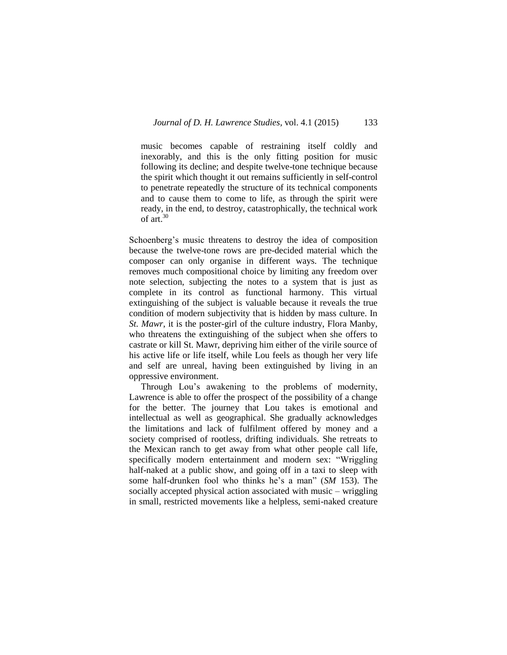music becomes capable of restraining itself coldly and inexorably, and this is the only fitting position for music following its decline; and despite twelve-tone technique because the spirit which thought it out remains sufficiently in self-control to penetrate repeatedly the structure of its technical components and to cause them to come to life, as through the spirit were ready, in the end, to destroy, catastrophically, the technical work of art. $30$ 

Schoenberg's music threatens to destroy the idea of composition because the twelve-tone rows are pre-decided material which the composer can only organise in different ways. The technique removes much compositional choice by limiting any freedom over note selection, subjecting the notes to a system that is just as complete in its control as functional harmony. This virtual extinguishing of the subject is valuable because it reveals the true condition of modern subjectivity that is hidden by mass culture. In *St. Mawr*, it is the poster-girl of the culture industry, Flora Manby, who threatens the extinguishing of the subject when she offers to castrate or kill St. Mawr, depriving him either of the virile source of his active life or life itself, while Lou feels as though her very life and self are unreal, having been extinguished by living in an oppressive environment.

Through Lou's awakening to the problems of modernity, Lawrence is able to offer the prospect of the possibility of a change for the better. The journey that Lou takes is emotional and intellectual as well as geographical. She gradually acknowledges the limitations and lack of fulfilment offered by money and a society comprised of rootless, drifting individuals. She retreats to the Mexican ranch to get away from what other people call life, specifically modern entertainment and modern sex: "Wriggling half-naked at a public show, and going off in a taxi to sleep with some half-drunken fool who thinks he's a man" (*SM* 153). The socially accepted physical action associated with music – wriggling in small, restricted movements like a helpless, semi-naked creature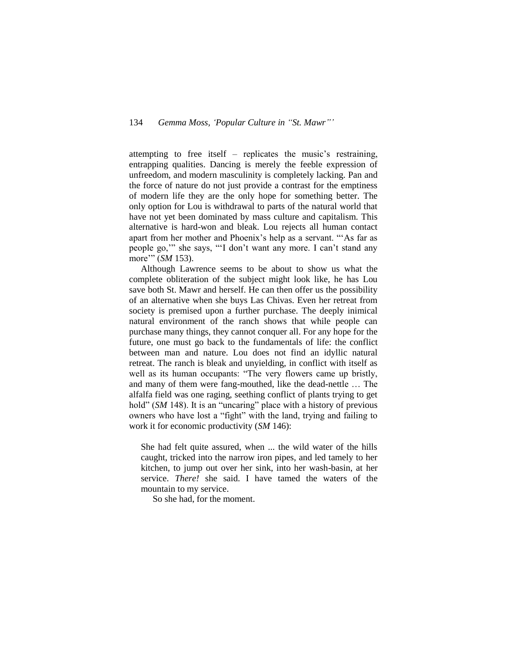#### 134 *Gemma Moss, 'Popular Culture in "St. Mawr"'*

attempting to free itself – replicates the music's restraining, entrapping qualities. Dancing is merely the feeble expression of unfreedom, and modern masculinity is completely lacking. Pan and the force of nature do not just provide a contrast for the emptiness of modern life they are the only hope for something better. The only option for Lou is withdrawal to parts of the natural world that have not yet been dominated by mass culture and capitalism. This alternative is hard-won and bleak. Lou rejects all human contact apart from her mother and Phoenix's help as a servant. "'As far as people go,'" she says, "'I don't want any more. I can't stand any more" (*SM* 153).

Although Lawrence seems to be about to show us what the complete obliteration of the subject might look like, he has Lou save both St. Mawr and herself. He can then offer us the possibility of an alternative when she buys Las Chivas. Even her retreat from society is premised upon a further purchase. The deeply inimical natural environment of the ranch shows that while people can purchase many things, they cannot conquer all. For any hope for the future, one must go back to the fundamentals of life: the conflict between man and nature. Lou does not find an idyllic natural retreat. The ranch is bleak and unyielding, in conflict with itself as well as its human occupants: "The very flowers came up bristly, and many of them were fang-mouthed, like the dead-nettle … The alfalfa field was one raging, seething conflict of plants trying to get hold" (*SM* 148). It is an "uncaring" place with a history of previous owners who have lost a "fight" with the land, trying and failing to work it for economic productivity (*SM* 146):

She had felt quite assured, when ... the wild water of the hills caught, tricked into the narrow iron pipes, and led tamely to her kitchen, to jump out over her sink, into her wash-basin, at her service. *There!* she said. I have tamed the waters of the mountain to my service.

So she had, for the moment.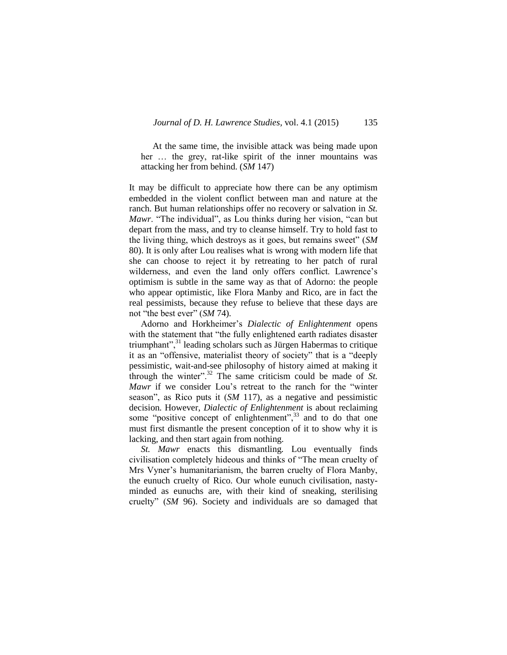At the same time, the invisible attack was being made upon her … the grey, rat-like spirit of the inner mountains was attacking her from behind. (*SM* 147)

It may be difficult to appreciate how there can be any optimism embedded in the violent conflict between man and nature at the ranch. But human relationships offer no recovery or salvation in *St. Mawr*. "The individual", as Lou thinks during her vision, "can but depart from the mass, and try to cleanse himself. Try to hold fast to the living thing, which destroys as it goes, but remains sweet" (*SM*  80). It is only after Lou realises what is wrong with modern life that she can choose to reject it by retreating to her patch of rural wilderness, and even the land only offers conflict. Lawrence's optimism is subtle in the same way as that of Adorno: the people who appear optimistic, like Flora Manby and Rico, are in fact the real pessimists, because they refuse to believe that these days are not "the best ever" (*SM* 74).

Adorno and Horkheimer's *Dialectic of Enlightenment* opens with the statement that "the fully enlightened earth radiates disaster triumphant",<sup>31</sup> leading scholars such as Jürgen Habermas to critique it as an "offensive, materialist theory of society" that is a "deeply pessimistic, wait-and-see philosophy of history aimed at making it through the winter".<sup>32</sup> The same criticism could be made of *St. Mawr* if we consider Lou's retreat to the ranch for the "winter season", as Rico puts it (*SM* 117), as a negative and pessimistic decision. However, *Dialectic of Enlightenment* is about reclaiming some "positive concept of enlightenment",<sup>33</sup> and to do that one must first dismantle the present conception of it to show why it is lacking, and then start again from nothing.

*St. Mawr* enacts this dismantling*.* Lou eventually finds civilisation completely hideous and thinks of "The mean cruelty of Mrs Vyner's humanitarianism, the barren cruelty of Flora Manby, the eunuch cruelty of Rico. Our whole eunuch civilisation, nastyminded as eunuchs are, with their kind of sneaking, sterilising cruelty" (*SM* 96). Society and individuals are so damaged that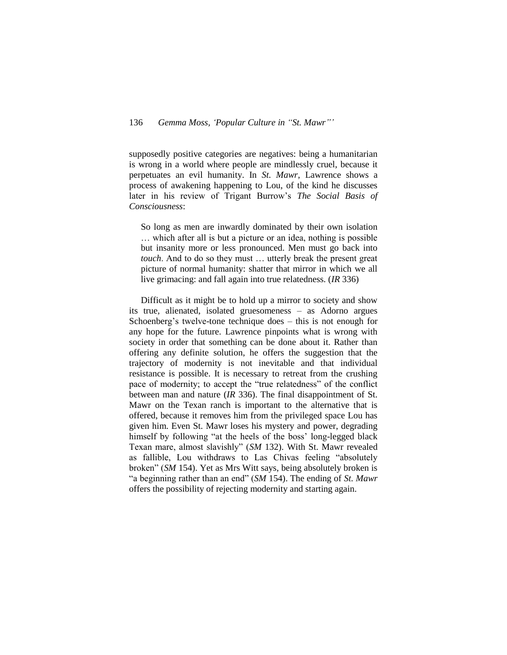supposedly positive categories are negatives: being a humanitarian is wrong in a world where people are mindlessly cruel, because it perpetuates an evil humanity. In *St. Mawr*, Lawrence shows a process of awakening happening to Lou, of the kind he discusses later in his review of Trigant Burrow's *The Social Basis of Consciousness*:

So long as men are inwardly dominated by their own isolation … which after all is but a picture or an idea, nothing is possible but insanity more or less pronounced. Men must go back into *touch*. And to do so they must … utterly break the present great picture of normal humanity: shatter that mirror in which we all live grimacing: and fall again into true relatedness. (*IR* 336)

Difficult as it might be to hold up a mirror to society and show its true, alienated, isolated gruesomeness – as Adorno argues Schoenberg's twelve-tone technique does – this is not enough for any hope for the future. Lawrence pinpoints what is wrong with society in order that something can be done about it. Rather than offering any definite solution, he offers the suggestion that the trajectory of modernity is not inevitable and that individual resistance is possible. It is necessary to retreat from the crushing pace of modernity; to accept the "true relatedness" of the conflict between man and nature (*IR* 336). The final disappointment of St. Mawr on the Texan ranch is important to the alternative that is offered, because it removes him from the privileged space Lou has given him. Even St. Mawr loses his mystery and power, degrading himself by following "at the heels of the boss' long-legged black Texan mare, almost slavishly" (*SM* 132). With St. Mawr revealed as fallible, Lou withdraws to Las Chivas feeling "absolutely broken" (*SM* 154). Yet as Mrs Witt says, being absolutely broken is "a beginning rather than an end" (*SM* 154). The ending of *St. Mawr* offers the possibility of rejecting modernity and starting again.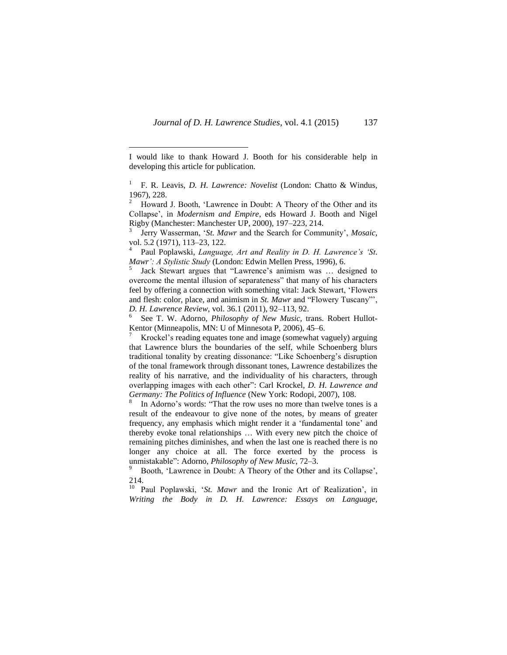$\overline{a}$ 

4 Paul Poplawski, *Language, Art and Reality in D. H. Lawrence's 'St. Mawr': A Stylistic Study* (London: Edwin Mellen Press, 1996), 6.

5 Jack Stewart argues that "Lawrence's animism was … designed to overcome the mental illusion of separateness" that many of his characters feel by offering a connection with something vital: Jack Stewart, 'Flowers and flesh: color, place, and animism in *St. Mawr* and "Flowery Tuscany"', *D. H. Lawrence Review,* vol. 36.1 (2011), 92–113, 92.

6 See T. W. Adorno, *Philosophy of New Music,* trans. Robert Hullot-Kentor (Minneapolis, MN: U of Minnesota P, 2006), 45–6.

<sup>7</sup> Krockel's reading equates tone and image (somewhat vaguely) arguing that Lawrence blurs the boundaries of the self, while Schoenberg blurs traditional tonality by creating dissonance: "Like Schoenberg's disruption of the tonal framework through dissonant tones, Lawrence destabilizes the reality of his narrative, and the individuality of his characters, through overlapping images with each other": Carl Krockel, *D. H. Lawrence and Germany: The Politics of Influence* (New York: Rodopi, 2007), 108.

8 In Adorno's words: "That the row uses no more than twelve tones is a result of the endeavour to give none of the notes, by means of greater frequency, any emphasis which might render it a 'fundamental tone' and thereby evoke tonal relationships … With every new pitch the choice of remaining pitches diminishes, and when the last one is reached there is no longer any choice at all. The force exerted by the process is unmistakable": Adorno, *Philosophy of New Music*, 72–3.

<sup>9</sup> Booth, 'Lawrence in Doubt: A Theory of the Other and its Collapse', 214.

<sup>10</sup> Paul Poplawski, '*St. Mawr* and the Ironic Art of Realization', in *Writing the Body in D. H. Lawrence: Essays on Language,* 

I would like to thank Howard J. Booth for his considerable help in developing this article for publication.

<sup>1</sup> F. R. Leavis, *D. H. Lawrence: Novelist* (London: Chatto & Windus, 1967), 228.

Howard J. Booth, 'Lawrence in Doubt: A Theory of the Other and its Collapse', in *Modernism and Empire*, eds Howard J. Booth and Nigel Rigby (Manchester: Manchester UP, 2000), 197–223, 214.

<sup>3</sup> Jerry Wasserman, '*St. Mawr* and the Search for Community', *Mosaic,* vol. 5.2 (1971), 113–23, 122.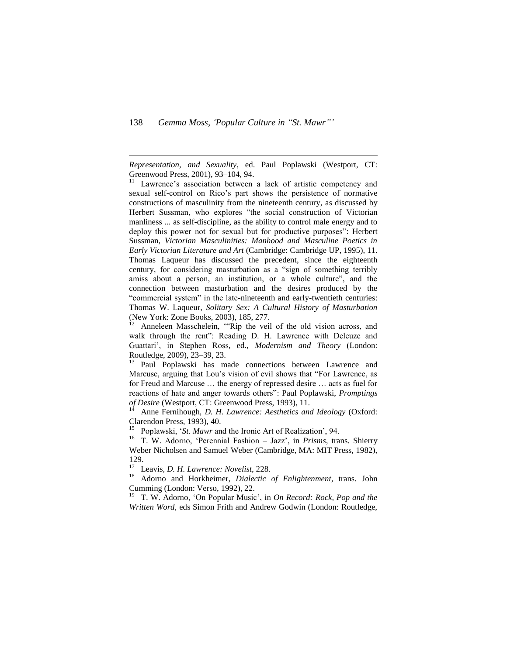$\overline{a}$ 

*Representation, and Sexuality*, ed. Paul Poplawski (Westport, CT: Greenwood Press, 2001), 93–104, 94.

<sup>11</sup> Lawrence's association between a lack of artistic competency and sexual self-control on Rico's part shows the persistence of normative constructions of masculinity from the nineteenth century, as discussed by Herbert Sussman, who explores "the social construction of Victorian manliness ... as self-discipline, as the ability to control male energy and to deploy this power not for sexual but for productive purposes": Herbert Sussman, *Victorian Masculinities: Manhood and Masculine Poetics in Early Victorian Literature and Art* (Cambridge: Cambridge UP, 1995), 11. Thomas Laqueur has discussed the precedent, since the eighteenth century, for considering masturbation as a "sign of something terribly amiss about a person, an institution, or a whole culture", and the connection between masturbation and the desires produced by the "commercial system" in the late-nineteenth and early-twentieth centuries: Thomas W. Laqueur, *Solitary Sex: A Cultural History of Masturbation*  (New York: Zone Books, 2003), 185, 277.

<sup>12</sup> Anneleen Masschelein, "Rip the veil of the old vision across, and walk through the rent": Reading D. H. Lawrence with Deleuze and Guattari', in Stephen Ross, ed., *Modernism and Theory* (London: Routledge, 2009), 23–39, 23.

<sup>13</sup> Paul Poplawski has made connections between Lawrence and Marcuse, arguing that Lou's vision of evil shows that "For Lawrence, as for Freud and Marcuse … the energy of repressed desire … acts as fuel for reactions of hate and anger towards others": Paul Poplawski, *Promptings of Desire* (Westport, CT: Greenwood Press, 1993), 11.

<sup>14</sup> Anne Fernihough, *D. H. Lawrence: Aesthetics and Ideology* (Oxford: Clarendon Press, 1993), 40.

<sup>15</sup> Poplawski, '*St. Mawr* and the Ironic Art of Realization', 94.

<sup>16</sup> T. W. Adorno, 'Perennial Fashion – Jazz', in *Prisms*, trans. Shierry Weber Nicholsen and Samuel Weber (Cambridge, MA: MIT Press, 1982), 129.

<sup>17</sup> Leavis, *D. H. Lawrence: Novelist*, 228.

<sup>18</sup> Adorno and Horkheimer, *Dialectic of Enlightenment*, trans. John Cumming (London: Verso, 1992), 22.

<sup>19</sup> T. W. Adorno, 'On Popular Music', in *On Record: Rock, Pop and the Written Word,* eds Simon Frith and Andrew Godwin (London: Routledge,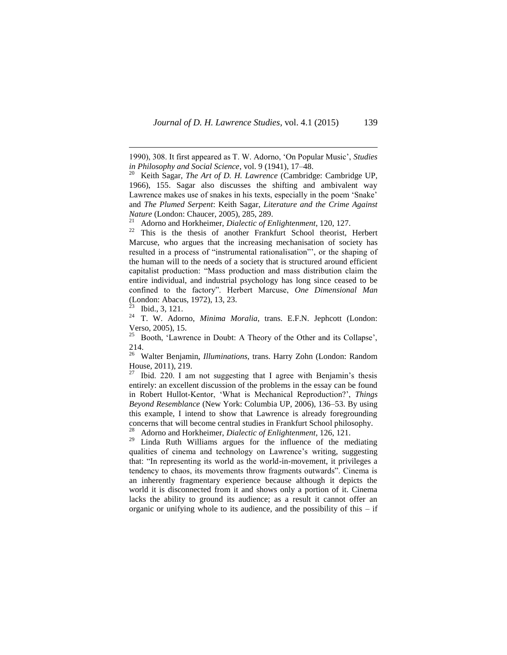<sup>21</sup> Adorno and Horkheimer, *Dialectic of Enlightenment*, 120, 127.<br><sup>22</sup> This is the thesis of another Frankfurt, School theorist

This is the thesis of another Frankfurt School theorist, Herbert Marcuse, who argues that the increasing mechanisation of society has resulted in a process of "instrumental rationalisation"', or the shaping of the human will to the needs of a society that is structured around efficient capitalist production: "Mass production and mass distribution claim the entire individual, and industrial psychology has long since ceased to be confined to the factory". Herbert Marcuse, *One Dimensional Man* (London: Abacus, 1972), 13, 23.

 $\overline{a}$ 

<sup>24</sup> T. W. Adorno, *Minima Moralia*, trans. E.F.N. Jephcott (London: Verso, 2005), 15.<br> $^{25}$  Posth, H sure

<sup>25</sup> Booth, 'Lawrence in Doubt: A Theory of the Other and its Collapse', 214.

<sup>26</sup> Walter Benjamin, *Illuminations*, trans. Harry Zohn (London: Random House, 2011), 219.

Ibid. 220. I am not suggesting that I agree with Benjamin's thesis entirely: an excellent discussion of the problems in the essay can be found in Robert Hullot-Kentor, 'What is Mechanical Reproduction?', *Things Beyond Resemblance* (New York: Columbia UP, 2006), 136–53. By using this example, I intend to show that Lawrence is already foregrounding concerns that will become central studies in Frankfurt School philosophy. <sup>28</sup> Adorno and Horkheimer, *Dialectic of Enlightenment*, 126, 121.<br><sup>29</sup> Linda Buth Williams argues for the influence of the ma

Linda Ruth Williams argues for the influence of the mediating qualities of cinema and technology on Lawrence's writing, suggesting that: "In representing its world as the world-in-movement, it privileges a tendency to chaos, its movements throw fragments outwards". Cinema is an inherently fragmentary experience because although it depicts the world it is disconnected from it and shows only a portion of it. Cinema lacks the ability to ground its audience; as a result it cannot offer an organic or unifying whole to its audience, and the possibility of this  $-$  if

<sup>1990), 308.</sup> It first appeared as T. W. Adorno, 'On Popular Music', *Studies in Philosophy and Social Science*, vol. 9 (1941), 17–48.

<sup>20</sup> Keith Sagar, *The Art of D. H. Lawrence* (Cambridge: Cambridge UP, 1966), 155. Sagar also discusses the shifting and ambivalent way Lawrence makes use of snakes in his texts, especially in the poem 'Snake' and *The Plumed Serpent*: Keith Sagar, *Literature and the Crime Against Nature* (London: Chaucer, 2005), 285, 289.

 $23$  Ibid., 3, 121.